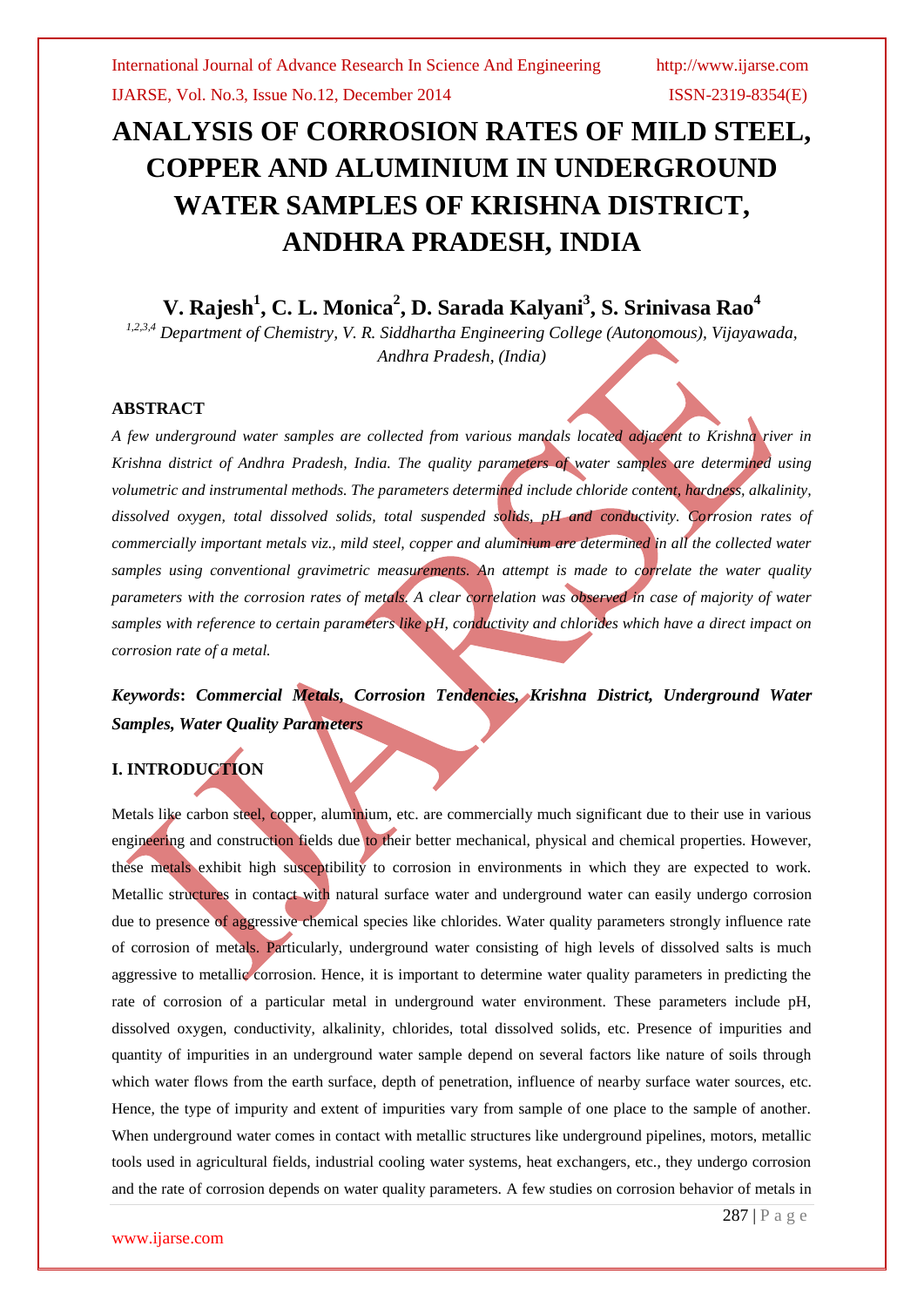### IJARSE, Vol. No.3, Issue No.12, December 2014 ISSN-2319-8354(E)

# **ANALYSIS OF CORROSION RATES OF MILD STEEL, COPPER AND ALUMINIUM IN UNDERGROUND WATER SAMPLES OF KRISHNA DISTRICT, ANDHRA PRADESH, INDIA**

# **V. Rajesh<sup>1</sup> , C. L. Monica<sup>2</sup> , D. Sarada Kalyani<sup>3</sup> , S. Srinivasa Rao<sup>4</sup>**

*1,2,3,4 Department of Chemistry, V. R. Siddhartha Engineering College (Autonomous), Vijayawada, Andhra Pradesh, (India)*

### **ABSTRACT**

*A few underground water samples are collected from various mandals located adjacent to Krishna river in Krishna district of Andhra Pradesh, India. The quality parameters of water samples are determined using volumetric and instrumental methods. The parameters determined include chloride content, hardness, alkalinity, dissolved oxygen, total dissolved solids, total suspended solids, pH and conductivity. Corrosion rates of commercially important metals viz., mild steel, copper and aluminium are determined in all the collected water samples using conventional gravimetric measurements. An attempt is made to correlate the water quality*  parameters with the corrosion rates of metals. A clear correlation was observed in case of majority of water *samples with reference to certain parameters like pH, conductivity and chlorides which have a direct impact on corrosion rate of a metal.*

*Keywords***:** *Commercial Metals, Corrosion Tendencies, Krishna District, Underground Water Samples, Water Quality Parameters*

## **I. INTRODUCTION**

Metals like carbon steel, copper, aluminium, etc. are commercially much significant due to their use in various engineering and construction fields due to their better mechanical, physical and chemical properties. However, these metals exhibit high susceptibility to corrosion in environments in which they are expected to work. Metallic structures in contact with natural surface water and underground water can easily undergo corrosion due to presence of aggressive chemical species like chlorides. Water quality parameters strongly influence rate of corrosion of metals. Particularly, underground water consisting of high levels of dissolved salts is much aggressive to metallic corrosion. Hence, it is important to determine water quality parameters in predicting the rate of corrosion of a particular metal in underground water environment. These parameters include pH, dissolved oxygen, conductivity, alkalinity, chlorides, total dissolved solids, etc. Presence of impurities and quantity of impurities in an underground water sample depend on several factors like nature of soils through which water flows from the earth surface, depth of penetration, influence of nearby surface water sources, etc. Hence, the type of impurity and extent of impurities vary from sample of one place to the sample of another. When underground water comes in contact with metallic structures like underground pipelines, motors, metallic tools used in agricultural fields, industrial cooling water systems, heat exchangers, etc., they undergo corrosion and the rate of corrosion depends on water quality parameters. A few studies on corrosion behavior of metals in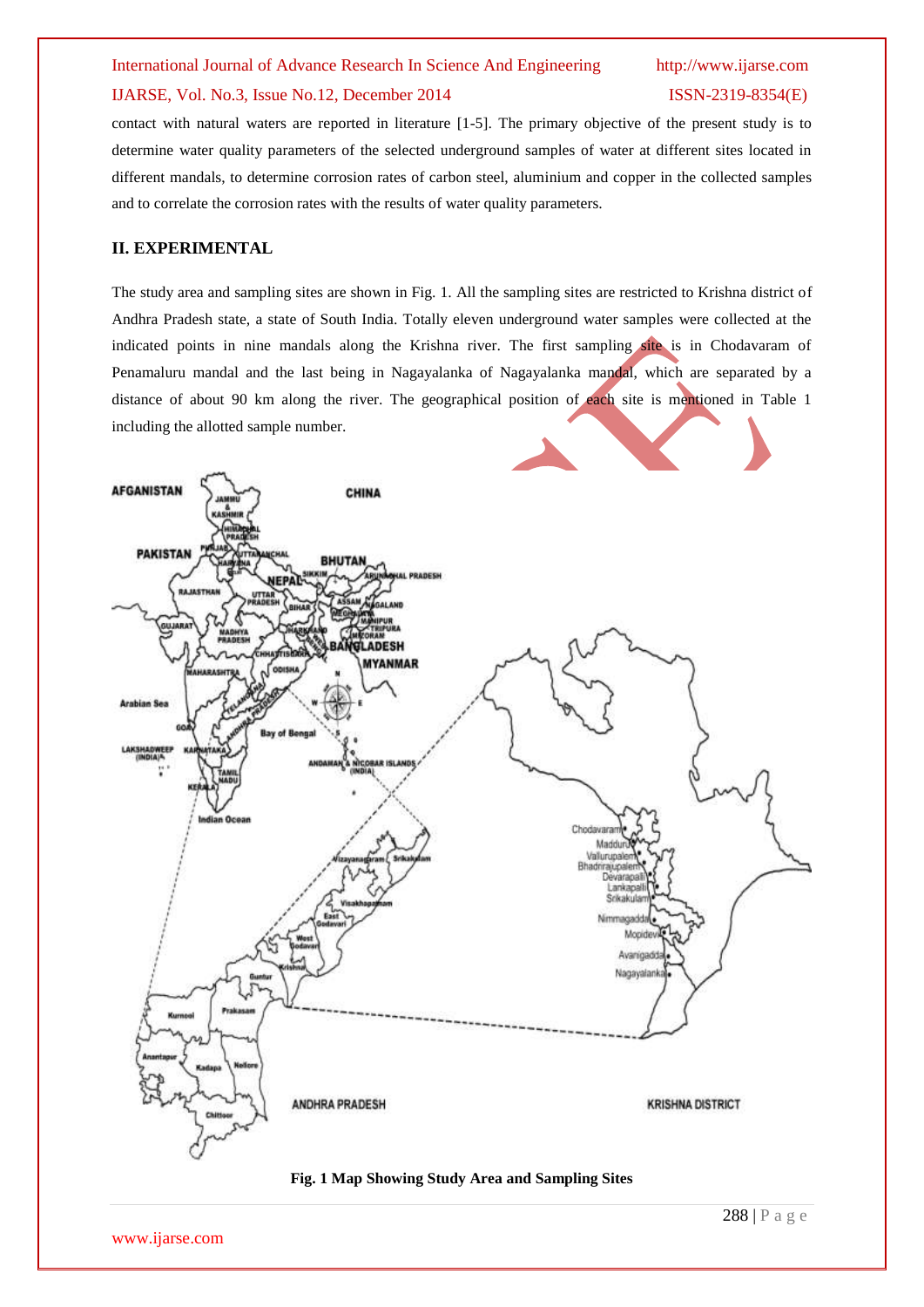# IJARSE, Vol. No.3, Issue No.12, December 2014 ISSN-2319-8354(E)

contact with natural waters are reported in literature [1-5]. The primary objective of the present study is to determine water quality parameters of the selected underground samples of water at different sites located in different mandals, to determine corrosion rates of carbon steel, aluminium and copper in the collected samples and to correlate the corrosion rates with the results of water quality parameters.

### **II. EXPERIMENTAL**

The study area and sampling sites are shown in Fig. 1. All the sampling sites are restricted to Krishna district of Andhra Pradesh state, a state of South India. Totally eleven underground water samples were collected at the indicated points in nine mandals along the Krishna river. The first sampling site is in Chodavaram of Penamaluru mandal and the last being in Nagayalanka of Nagayalanka mandal, which are separated by a distance of about 90 km along the river. The geographical position of each site is mentioned in Table 1 including the allotted sample number.



### **Fig. 1 Map Showing Study Area and Sampling Sites**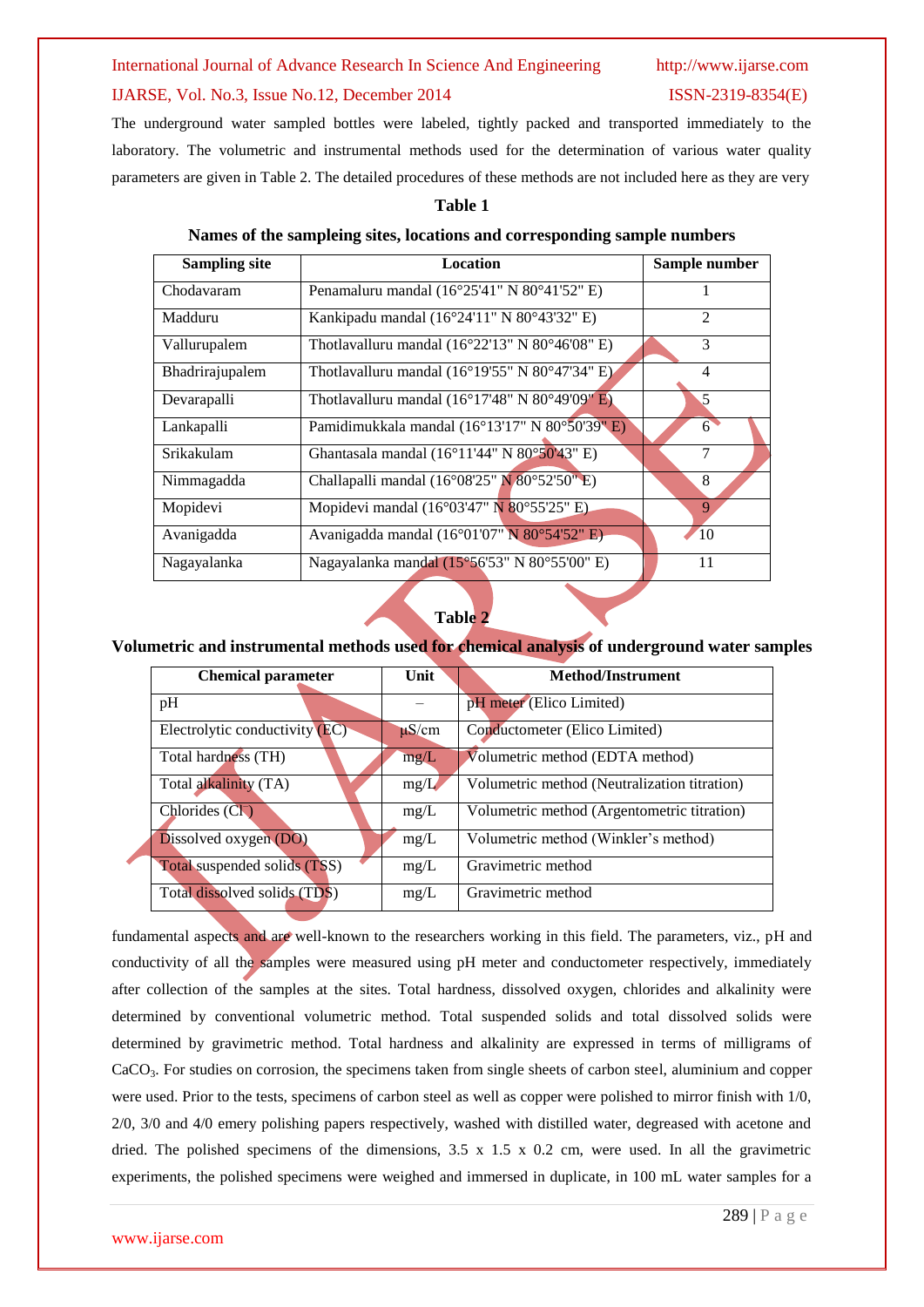### IJARSE, Vol. No.3, Issue No.12, December 2014 ISSN-2319-8354(E)

The underground water sampled bottles were labeled, tightly packed and transported immediately to the laboratory. The volumetric and instrumental methods used for the determination of various water quality parameters are given in Table 2. The detailed procedures of these methods are not included here as they are very

### **Table 1**

### **Names of the sampleing sites, locations and corresponding sample numbers**

| <b>Sampling site</b> | Location                                                            | Sample number  |  |
|----------------------|---------------------------------------------------------------------|----------------|--|
| Chodavaram           | Penamaluru mandal (16°25'41" N 80°41'52" E)                         |                |  |
| Madduru              | Kankipadu mandal (16°24'11" N 80°43'32" E)                          | $\mathfrak{D}$ |  |
| Vallurupalem         | Thotlavalluru mandal $(16^{\circ}22'13''$ N 80°46'08" E)            | 3              |  |
| Bhadrirajupalem      | Thotlavalluru mandal ( $16^{\circ}19'55''$ N $80^{\circ}47'34''$ E) | 4              |  |
| Devarapalli          | Thotlavalluru mandal $(16^{\circ}17'48''$ N $80^{\circ}49'09''$ E)  | 5              |  |
| Lankapalli           | Pamidimukkala mandal (16°13'17" N 80°50'39" E)                      | $6^{\circ}$    |  |
| Srikakulam           | Ghantasala mandal (16°11'44" N 80°50'43" E)                         | 7              |  |
| Nimmagadda           | Challapalli mandal (16°08'25" $N$ 80°52'50" E)                      | 8              |  |
| Mopidevi             | Mopidevi mandal (16°03'47" N 80°55'25" E).                          | 9              |  |
| Avanigadda           | Avanigadda mandal (16°01'07" N 80°54'52" E)                         | 10             |  |
| Nagayalanka          | Nagayalanka mandal (15°56'53" N 80°55'00" E)                        | 11             |  |

### **Table 2**

### **Volumetric and instrumental methods used for chemical analysis of underground water samples**

| <b>Chemical parameter</b>           | Unit       | <b>Method/Instrument</b>                     |  |  |  |
|-------------------------------------|------------|----------------------------------------------|--|--|--|
| pH                                  |            | pH meter (Elico Limited)                     |  |  |  |
| Electrolytic conductivity (EC)      | $\mu$ S/cm | Conductometer (Elico Limited)                |  |  |  |
| Total hardness (TH)                 | mg/L       | Volumetric method (EDTA method)              |  |  |  |
| Total alkalinity (TA)               | mg/L       | Volumetric method (Neutralization titration) |  |  |  |
| Chlorides $(C1)$                    | mg/L       | Volumetric method (Argentometric titration)  |  |  |  |
| Dissolved oxygen (DO)               | mg/L       | Volumetric method (Winkler's method)         |  |  |  |
| <b>Total suspended solids (TSS)</b> | mg/L       | Gravimetric method                           |  |  |  |
| Total dissolved solids (TDS)        | mg/L       | Gravimetric method                           |  |  |  |

fundamental aspects and are well-known to the researchers working in this field. The parameters, viz., pH and conductivity of all the samples were measured using pH meter and conductometer respectively, immediately after collection of the samples at the sites. Total hardness, dissolved oxygen, chlorides and alkalinity were determined by conventional volumetric method. Total suspended solids and total dissolved solids were determined by gravimetric method. Total hardness and alkalinity are expressed in terms of milligrams of CaCO3. For studies on corrosion, the specimens taken from single sheets of carbon steel, aluminium and copper were used. Prior to the tests, specimens of carbon steel as well as copper were polished to mirror finish with 1/0, 2/0, 3/0 and 4/0 emery polishing papers respectively, washed with distilled water, degreased with acetone and dried. The polished specimens of the dimensions,  $3.5 \times 1.5 \times 0.2$  cm, were used. In all the gravimetric experiments, the polished specimens were weighed and immersed in duplicate, in 100 mL water samples for a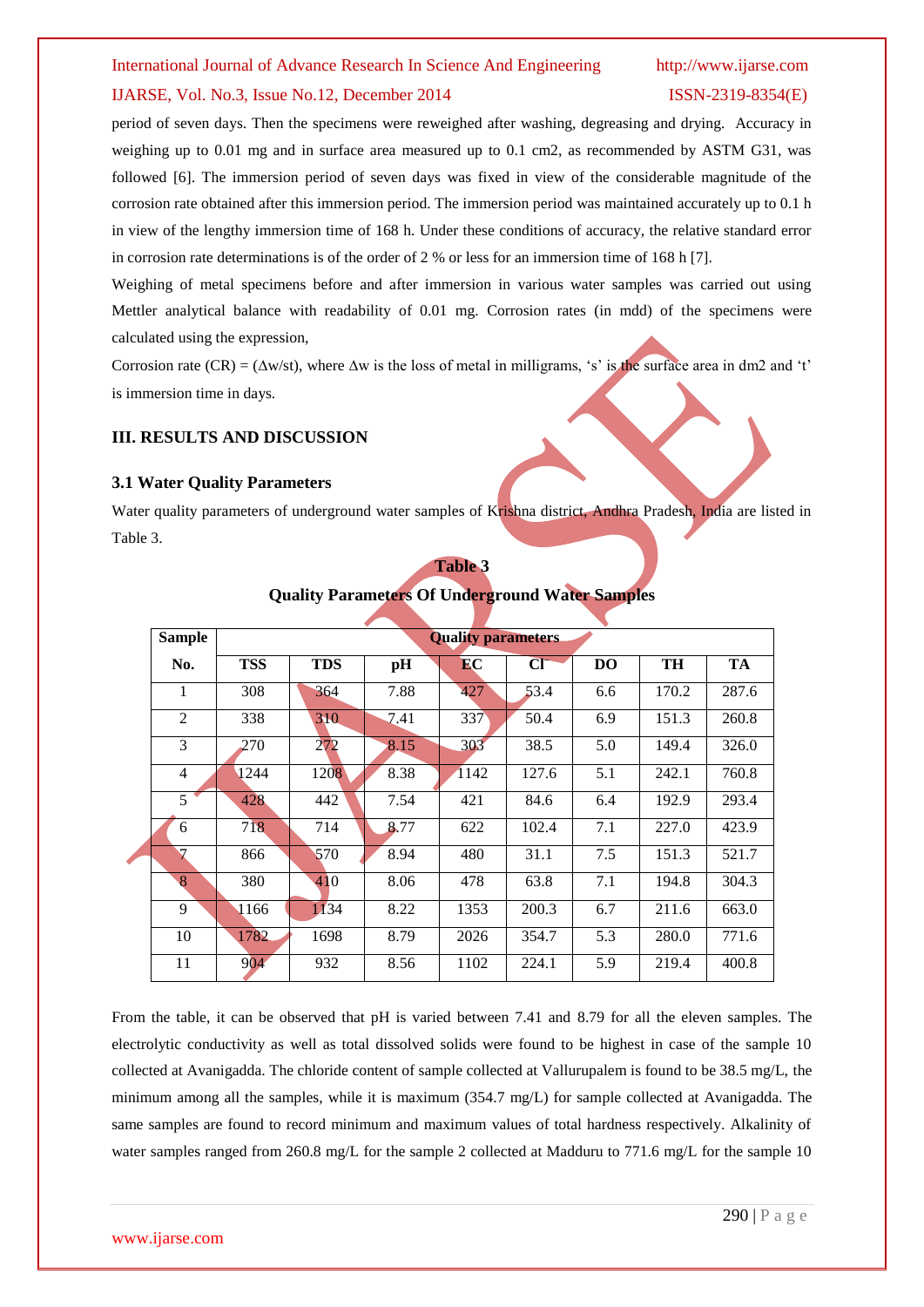### IJARSE, Vol. No.3, Issue No.12, December 2014 ISSN-2319-8354(E)

period of seven days. Then the specimens were reweighed after washing, degreasing and drying. Accuracy in weighing up to 0.01 mg and in surface area measured up to 0.1 cm2, as recommended by ASTM G31, was followed [6]. The immersion period of seven days was fixed in view of the considerable magnitude of the corrosion rate obtained after this immersion period. The immersion period was maintained accurately up to 0.1 h in view of the lengthy immersion time of 168 h. Under these conditions of accuracy, the relative standard error in corrosion rate determinations is of the order of 2 % or less for an immersion time of 168 h [7].

Weighing of metal specimens before and after immersion in various water samples was carried out using Mettler analytical balance with readability of 0.01 mg. Corrosion rates (in mdd) of the specimens were calculated using the expression,

Corrosion rate (CR) = ( $\Delta w$ /st), where  $\Delta w$  is the loss of metal in milligrams, 's' is the surface area in dm2 and 't' is immersion time in days.

### **III. RESULTS AND DISCUSSION**

### **3.1 Water Quality Parameters**

Water quality parameters of underground water samples of Krishna district, Andhra Pradesh, India are listed in Table 3.

| <b>Sample</b> | <b>Quality parameters</b> |            |      |      |       |           |       |       |  |  |
|---------------|---------------------------|------------|------|------|-------|-----------|-------|-------|--|--|
| No.           | <b>TSS</b>                | <b>TDS</b> | pН   | EC   | CI    | <b>DO</b> | TH    | TA    |  |  |
| 1             | 308                       | 364        | 7.88 | 427  | 53.4  | 6.6       | 170.2 | 287.6 |  |  |
| 2             | 338                       | 310        | 7.41 | 337  | 50.4  | 6.9       | 151.3 | 260.8 |  |  |
| 3             | 270                       | 272        | 8.15 | 303  | 38.5  | 5.0       | 149.4 | 326.0 |  |  |
| 4             | 1244                      | 1208       | 8.38 | 1142 | 127.6 | 5.1       | 242.1 | 760.8 |  |  |
| $5^{\circ}$   | 428                       | 442        | 7.54 | 421  | 84.6  | 6.4       | 192.9 | 293.4 |  |  |
| 6             | 718                       | 714        | 8.77 | 622  | 102.4 | 7.1       | 227.0 | 423.9 |  |  |
| 7             | 866                       | 570        | 8.94 | 480  | 31.1  | 7.5       | 151.3 | 521.7 |  |  |
| 8             | 380                       | 410        | 8.06 | 478  | 63.8  | 7.1       | 194.8 | 304.3 |  |  |
| 9             | 1166                      | 1134       | 8.22 | 1353 | 200.3 | 6.7       | 211.6 | 663.0 |  |  |
| 10            | 1782                      | 1698       | 8.79 | 2026 | 354.7 | 5.3       | 280.0 | 771.6 |  |  |
| 11            | 904                       | 932        | 8.56 | 1102 | 224.1 | 5.9       | 219.4 | 400.8 |  |  |

# **Table 3 Quality Parameters Of Underground Water Samples**

From the table, it can be observed that pH is varied between 7.41 and 8.79 for all the eleven samples. The electrolytic conductivity as well as total dissolved solids were found to be highest in case of the sample 10 collected at Avanigadda. The chloride content of sample collected at Vallurupalem is found to be 38.5 mg/L, the minimum among all the samples, while it is maximum (354.7 mg/L) for sample collected at Avanigadda. The same samples are found to record minimum and maximum values of total hardness respectively. Alkalinity of water samples ranged from 260.8 mg/L for the sample 2 collected at Madduru to 771.6 mg/L for the sample 10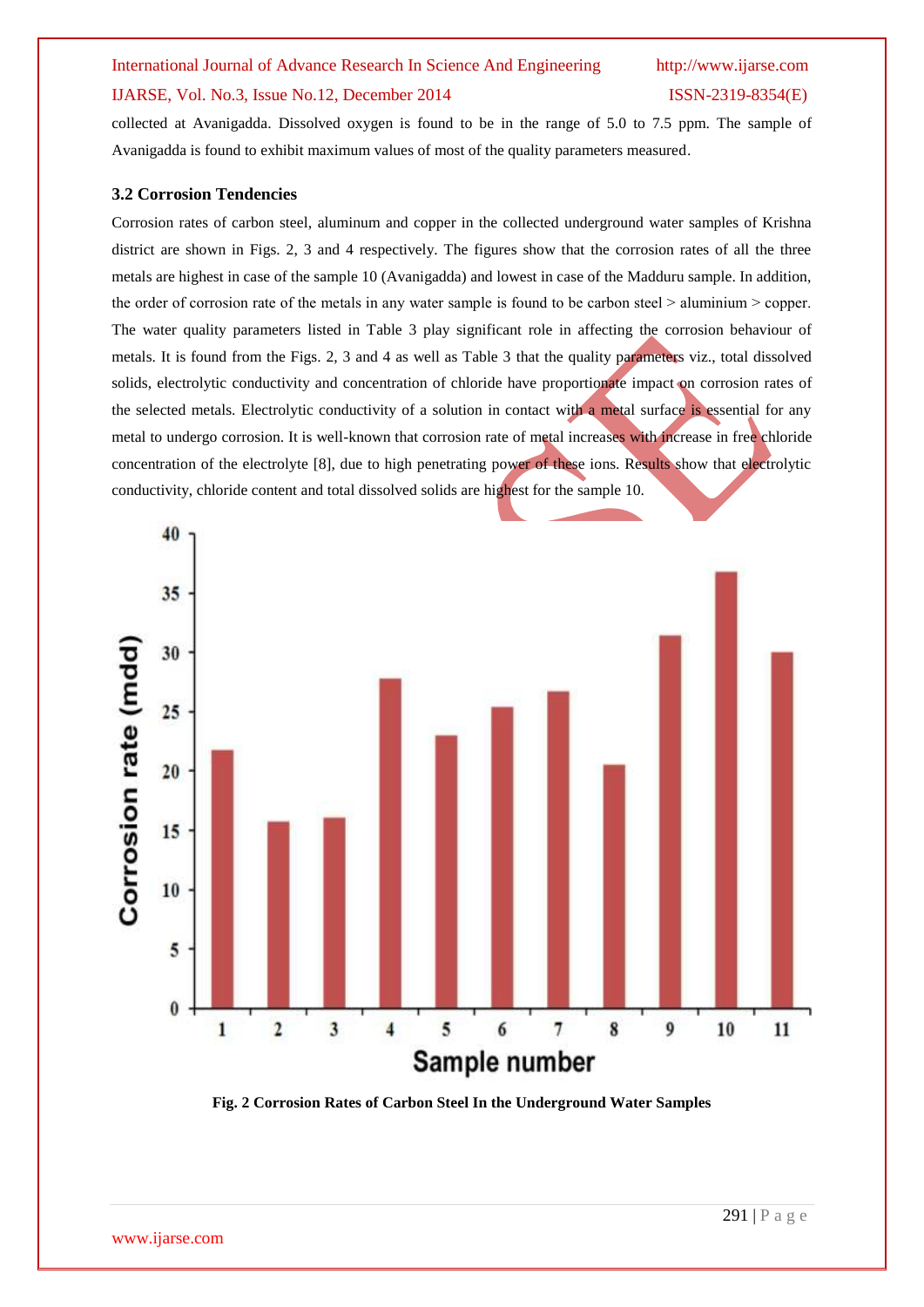### IJARSE, Vol. No.3, Issue No.12, December 2014 ISSN-2319-8354(E)

collected at Avanigadda. Dissolved oxygen is found to be in the range of 5.0 to 7.5 ppm. The sample of Avanigadda is found to exhibit maximum values of most of the quality parameters measured.

### **3.2 Corrosion Tendencies**

Corrosion rates of carbon steel, aluminum and copper in the collected underground water samples of Krishna district are shown in Figs. 2, 3 and 4 respectively. The figures show that the corrosion rates of all the three metals are highest in case of the sample 10 (Avanigadda) and lowest in case of the Madduru sample. In addition, the order of corrosion rate of the metals in any water sample is found to be carbon steel  $>$  aluminium  $>$  copper. The water quality parameters listed in Table 3 play significant role in affecting the corrosion behaviour of metals. It is found from the Figs. 2, 3 and 4 as well as Table 3 that the quality parameters viz., total dissolved solids, electrolytic conductivity and concentration of chloride have proportionate impact on corrosion rates of the selected metals. Electrolytic conductivity of a solution in contact with a metal surface is essential for any metal to undergo corrosion. It is well-known that corrosion rate of metal increases with increase in free chloride concentration of the electrolyte [8], due to high penetrating power of these ions. Results show that electrolytic conductivity, chloride content and total dissolved solids are highest for the sample 10.



**Fig. 2 Corrosion Rates of Carbon Steel In the Underground Water Samples**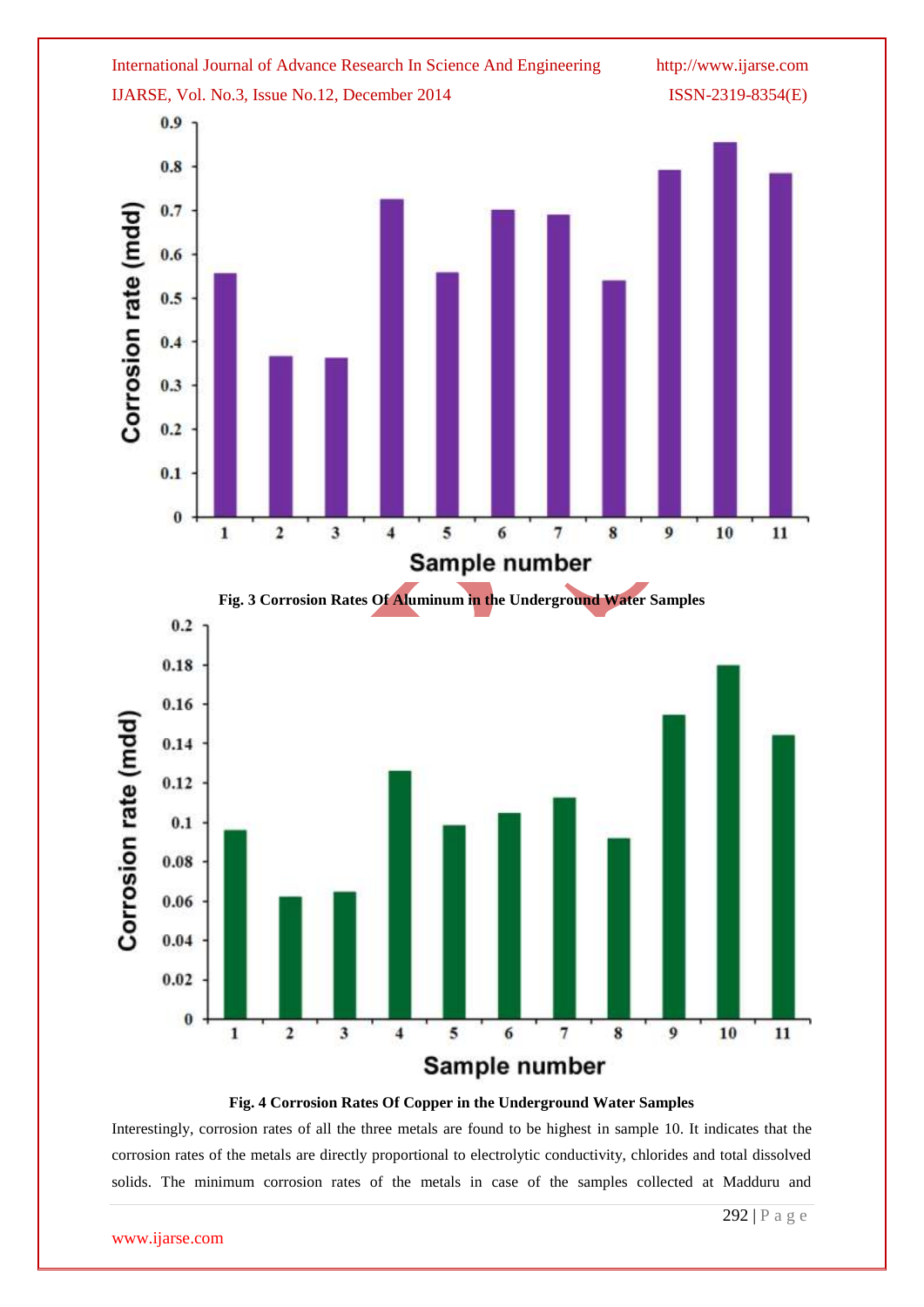

### **Fig. 4 Corrosion Rates Of Copper in the Underground Water Samples**

Interestingly, corrosion rates of all the three metals are found to be highest in sample 10. It indicates that the corrosion rates of the metals are directly proportional to electrolytic conductivity, chlorides and total dissolved solids. The minimum corrosion rates of the metals in case of the samples collected at Madduru and